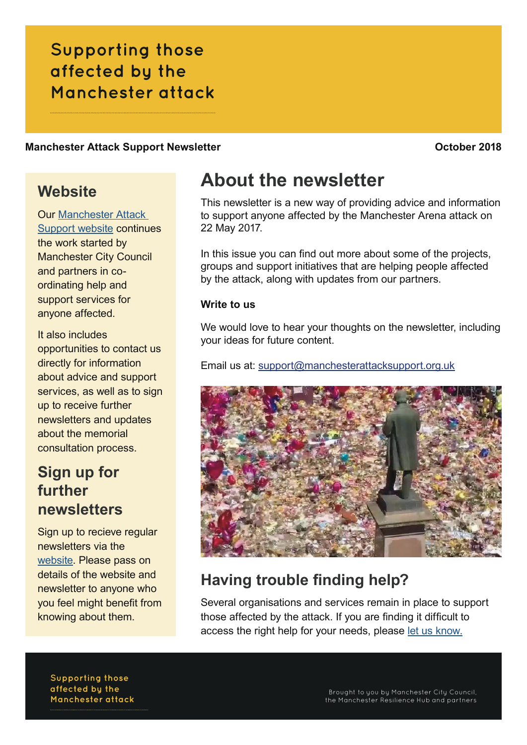**Manchester Attack Support Newsletter Construction Construction Attack Support Newsletter Construction Construction Construction Construction Construction Construction Construction Construction Construction Constructio** 

#### **Website**

Our [Manchester Attack](https://manchesterattacksupport.org.uk)  [Support website](https://manchesterattacksupport.org.uk) continues the work started by Manchester City Council and partners in coordinating help and support services for anyone affected.

It also includes opportunities to contact us directly for information about advice and support services, as well as to sign up to receive further newsletters and updates about the memorial consultation process.

## **Sign up for further newsletters**

Sign up to recieve regular newsletters via the [website](https://manchesterattacksupport.org.uk/resource-library/). Please pass on details of the website and newsletter to anyone who you feel might benefit from knowing about them.

# **About the newsletter**

This newsletter is a new way of providing advice and information to support anyone affected by the Manchester Arena attack on 22 May 2017.

In this issue you can find out more about some of the projects, groups and support initiatives that are helping people affected by the attack, along with updates from our partners.

#### **Write to us**

We would love to hear your thoughts on the newsletter, including your ideas for future content.

Email us at: [support@manchesterattacksupport.org.uk](mailto:support%40manchesterattacksupport.org.uk?subject=Manchester%20Attack%20Support)



#### **Having trouble finding help?**

Several organisations and services remain in place to support those affected by the attack. If you are finding it difficult to access the right help for your needs, please [let us know.](mailto:support%40manchesterattacksupport.org.uk?subject=)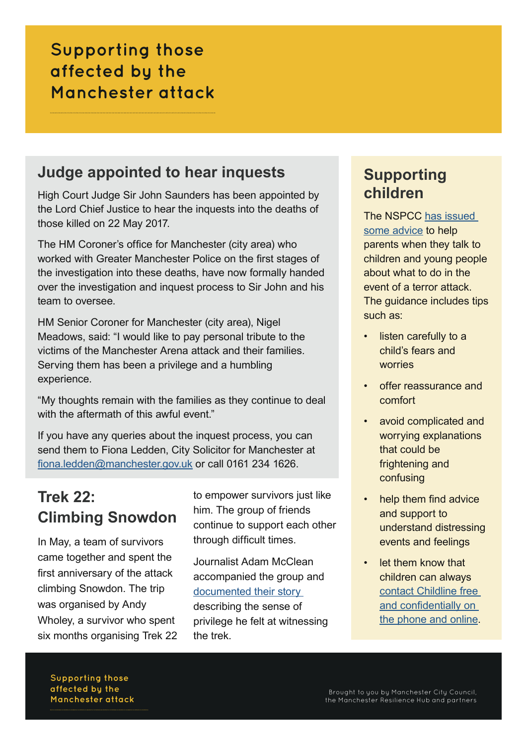#### **Judge appointed to hear inquests**

High Court Judge Sir John Saunders has been appointed by the Lord Chief Justice to hear the inquests into the deaths of those killed on 22 May 2017.

The HM Coroner's office for Manchester (city area) who worked with Greater Manchester Police on the first stages of the investigation into these deaths, have now formally handed over the investigation and inquest process to Sir John and his team to oversee.

HM Senior Coroner for Manchester (city area), Nigel Meadows, said: "I would like to pay personal tribute to the victims of the Manchester Arena attack and their families. Serving them has been a privilege and a humbling experience.

"My thoughts remain with the families as they continue to deal with the aftermath of this awful event."

If you have any queries about the inquest process, you can send them to Fiona Ledden, City Solicitor for Manchester at [fiona.ledden@manchester.gov.uk](mailto:fiona.ledden%40manchester.gov.uk?subject=) or call 0161 234 1626.

# **Trek 22: Climbing Snowdon**

In May, a team of survivors came together and spent the first anniversary of the attack climbing Snowdon. The trip was organised by Andy Wholey, a survivor who spent six months organising Trek 22 to empower survivors just like him. The group of friends continue to support each other through difficult times.

Journalist Adam McClean accompanied the group and [documented their story](http://www.itv.com/news/granada/2018-05-23/trek-22-manchester-arena-foyer-survivors-climb-snowdon/)  describing the sense of privilege he felt at witnessing the trek.

## **Supporting children**

The NSPCC [has issued](https://www.nspcc.org.uk/what-we-do/news-opinion/supporting-children-worried-about-terrorism/)  [some advice](https://www.nspcc.org.uk/what-we-do/news-opinion/supporting-children-worried-about-terrorism/) to help parents when they talk to children and young people about what to do in the event of a terror attack. The guidance includes tips such as:

- listen carefully to a child's fears and worries
- offer reassurance and comfort
- avoid complicated and worrying explanations that could be frightening and confusing
- help them find advice and support to understand distressing events and feelings
- let them know that children can always [contact Childline free](https://www.childline.org.uk/)  [and confidentially on](https://www.childline.org.uk/)  [the phone and online](https://www.childline.org.uk/).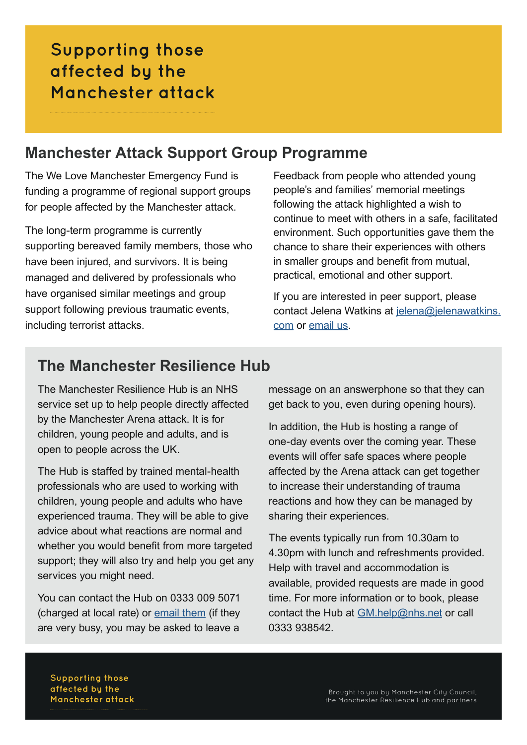#### **Manchester Attack Support Group Programme**

The We Love Manchester Emergency Fund is funding a programme of regional support groups for people affected by the Manchester attack.

The long-term programme is currently supporting bereaved family members, those who have been injured, and survivors. It is being managed and delivered by professionals who have organised similar meetings and group support following previous traumatic events, including terrorist attacks.

Feedback from people who attended young people's and families' memorial meetings following the attack highlighted a wish to continue to meet with others in a safe, facilitated environment. Such opportunities gave them the chance to share their experiences with others in smaller groups and benefit from mutual, practical, emotional and other support.

If you are interested in peer support, please contact Jelena Watkins at [jelena@jelenawatkins.](mailto:jelena%40jelenawatkins.com?subject=) [com](mailto:jelena%40jelenawatkins.com?subject=) or [email us](mailto:support%40manchesterattacksupport.org.uk?subject=Manchester%20Attack%20Support).

#### **The Manchester Resilience Hub**

The Manchester Resilience Hub is an NHS service set up to help people directly affected by the Manchester Arena attack. It is for children, young people and adults, and is open to people across the UK.

The Hub is staffed by trained mental-health professionals who are used to working with children, young people and adults who have experienced trauma. They will be able to give advice about what reactions are normal and whether you would benefit from more targeted support; they will also try and help you get any services you might need.

You can contact the Hub on 0333 009 5071 (charged at local rate) or [email them](mailto:GM.help%40nhs.net?subject=) (if they are very busy, you may be asked to leave a message on an answerphone so that they can get back to you, even during opening hours).

In addition, the Hub is hosting a range of one-day events over the coming year. These events will offer safe spaces where people affected by the Arena attack can get together to increase their understanding of trauma reactions and how they can be managed by sharing their experiences.

The events typically run from 10.30am to 4.30pm with lunch and refreshments provided. Help with travel and accommodation is available, provided requests are made in good time. For more information or to book, please contact the Hub at [GM.help@nhs.net](mailto:GM.help%40nhs.net?subject=) or call 0333 938542.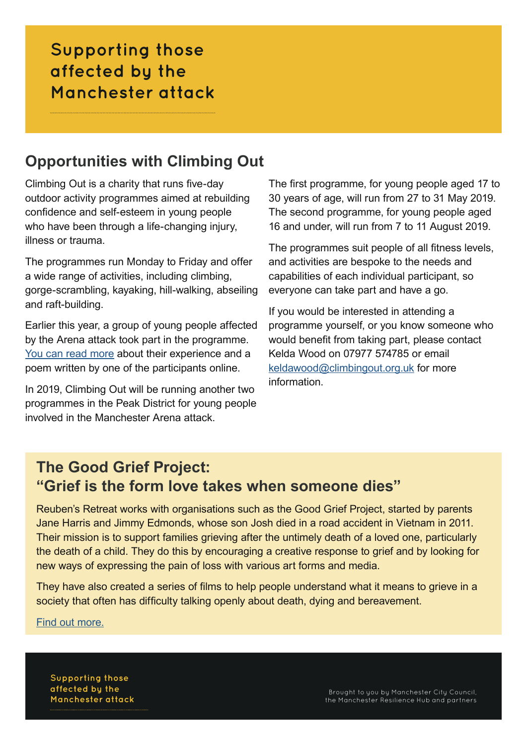#### **Opportunities with Climbing Out**

Climbing Out is a charity that runs five-day outdoor activity programmes aimed at rebuilding confidence and self-esteem in young people who have been through a life-changing injury, illness or trauma.

The programmes run Monday to Friday and offer a wide range of activities, including climbing, gorge-scrambling, kayaking, hill-walking, abseiling and raft-building.

Earlier this year, a group of young people affected by the Arena attack took part in the programme. [You can read more](http://climbingout.org.uk/index.php/2018/05/24/our-support-for-young-people-effected-by-the-manchester-bombing-reaches-canada/) about their experience and a poem written by one of the participants online.

In 2019, Climbing Out will be running another two programmes in the Peak District for young people involved in the Manchester Arena attack.

The first programme, for young people aged 17 to 30 years of age, will run from 27 to 31 May 2019. The second programme, for young people aged 16 and under, will run from 7 to 11 August 2019.

The programmes suit people of all fitness levels, and activities are bespoke to the needs and capabilities of each individual participant, so everyone can take part and have a go.

If you would be interested in attending a programme yourself, or you know someone who would benefit from taking part, please contact Kelda Wood on 07977 574785 or email [keldawood@climbingout.org.uk](mailto:keldawood%40climbingout.org.uk?subject=) for more information.

#### **The Good Grief Project: "Grief is the form love takes when someone dies"**

Reuben's Retreat works with organisations such as the Good Grief Project, started by parents Jane Harris and Jimmy Edmonds, whose son Josh died in a road accident in Vietnam in 2011. Their mission is to support families grieving after the untimely death of a loved one, particularly the death of a child. They do this by encouraging a creative response to grief and by looking for new ways of expressing the pain of loss with various art forms and media.

They have also created a series of films to help people understand what it means to grieve in a society that often has difficulty talking openly about death, dying and bereavement.

#### [Find out more.](https://thegoodgriefproject.co.uk/)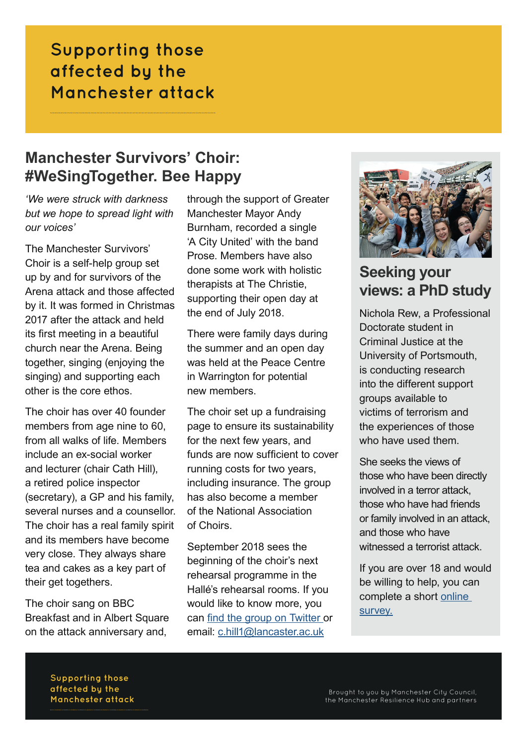#### **Manchester Survivors' Choir: #WeSingTogether. Bee Happy**

*'We were struck with darkness but we hope to spread light with our voices'* 

The Manchester Survivors' Choir is a self-help group set up by and for survivors of the Arena attack and those affected by it. It was formed in Christmas 2017 after the attack and held its first meeting in a beautiful church near the Arena. Being together, singing (enjoying the singing) and supporting each other is the core ethos.

The choir has over 40 founder members from age nine to 60, from all walks of life. Members include an ex-social worker and lecturer (chair Cath Hill), a retired police inspector (secretary), a GP and his family, several nurses and a counsellor. The choir has a real family spirit and its members have become very close. They always share tea and cakes as a key part of their get togethers.

The choir sang on BBC Breakfast and in Albert Square on the attack anniversary and,

through the support of Greater Manchester Mayor Andy Burnham, recorded a single 'A City United' with the band Prose. Members have also done some work with holistic therapists at The Christie, supporting their open day at the end of July 2018.

There were family days during the summer and an open day was held at the Peace Centre in Warrington for potential new members.

The choir set up a fundraising page to ensure its sustainability for the next few years, and funds are now sufficient to cover running costs for two years, including insurance. The group has also become a member of the National Association of Choirs.

September 2018 sees the beginning of the choir's next rehearsal programme in the Hallé's rehearsal rooms. If you would like to know more, you can [find the group on Twitter](https://twitter.com/%20SurvivorsChoir) or email: [c.hill1@lancaster.ac.uk](mailto:c.hill1%40lancaster.ac.uk?subject=)



## **Seeking your views: a PhD study**

Nichola Rew, a Professional Doctorate student in Criminal Justice at the University of Portsmouth, is conducting research into the different support groups available to victims of terrorism and the experiences of those who have used them.

She seeks the views of those who have been directly involved in a terror attack, those who have had friends or family involved in an attack, and those who have witnessed a terrorist attack.

If you are over 18 and would be willing to help, you can complete a short [online](https://portsmouth.onlinesurveys.ac.uk/supporting-the-survivors2018)  [survey.](https://portsmouth.onlinesurveys.ac.uk/supporting-the-survivors2018)